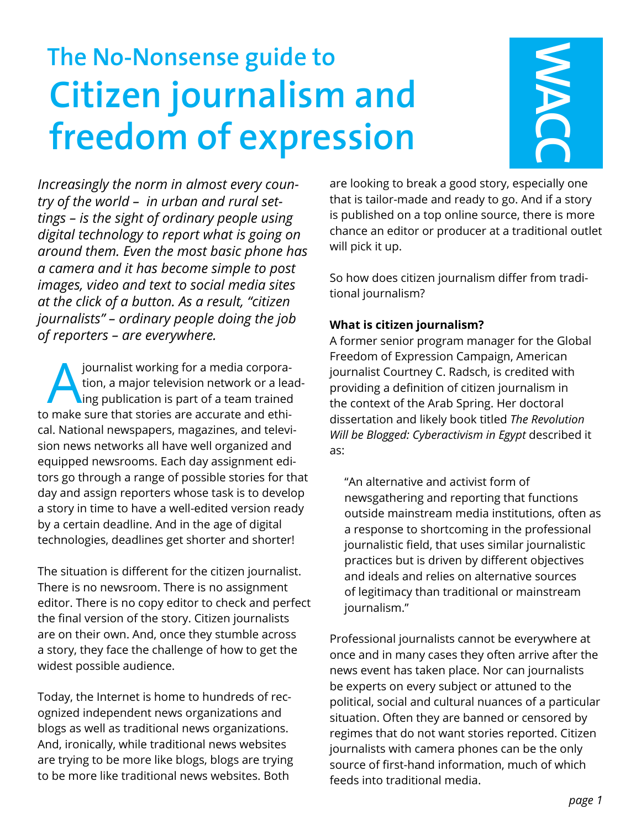# **The No-Nonsense guide to Citizen journalism and freedom of expression**



*Increasingly the norm in almost every country of the world – in urban and rural settings – is the sight of ordinary people using digital technology to report what is going on around them. Even the most basic phone has a camera and it has become simple to post images, video and text to social media sites at the click of a button. As a result, "citizen journalists" – ordinary people doing the job of reporters – are everywhere.*

journalist working for a media corpora-<br>tion, a major television network or a lea<br>ing publication is part of a team trained tion, a major television network or a leading publication is part of a team trained to make sure that stories are accurate and ethical. National newspapers, magazines, and television news networks all have well organized and equipped newsrooms. Each day assignment editors go through a range of possible stories for that day and assign reporters whose task is to develop a story in time to have a well-edited version ready by a certain deadline. And in the age of digital technologies, deadlines get shorter and shorter!

The situation is different for the citizen journalist. There is no newsroom. There is no assignment editor. There is no copy editor to check and perfect the final version of the story. Citizen journalists are on their own. And, once they stumble across a story, they face the challenge of how to get the widest possible audience.

Today, the Internet is home to hundreds of recognized independent news organizations and blogs as well as traditional news organizations. And, ironically, while traditional news websites are trying to be more like blogs, blogs are trying to be more like traditional news websites. Both

are looking to break a good story, especially one that is tailor-made and ready to go. And if a story is published on a top online source, there is more chance an editor or producer at a traditional outlet will pick it up.

So how does citizen journalism differ from traditional journalism?

### **What is citizen journalism?**

A former senior program manager for the Global Freedom of Expression Campaign, American journalist Courtney C. Radsch, is credited with providing a definition of citizen journalism in the context of the Arab Spring. Her doctoral dissertation and likely book titled *The Revolution Will be Blogged: Cyberactivism in Egypt* described it as:

"An alternative and activist form of newsgathering and reporting that functions outside mainstream media institutions, often as a response to shortcoming in the professional journalistic field, that uses similar journalistic practices but is driven by different objectives and ideals and relies on alternative sources of legitimacy than traditional or mainstream journalism."

Professional journalists cannot be everywhere at once and in many cases they often arrive after the news event has taken place. Nor can journalists be experts on every subject or attuned to the political, social and cultural nuances of a particular situation. Often they are banned or censored by regimes that do not want stories reported. Citizen journalists with camera phones can be the only source of first-hand information, much of which feeds into traditional media.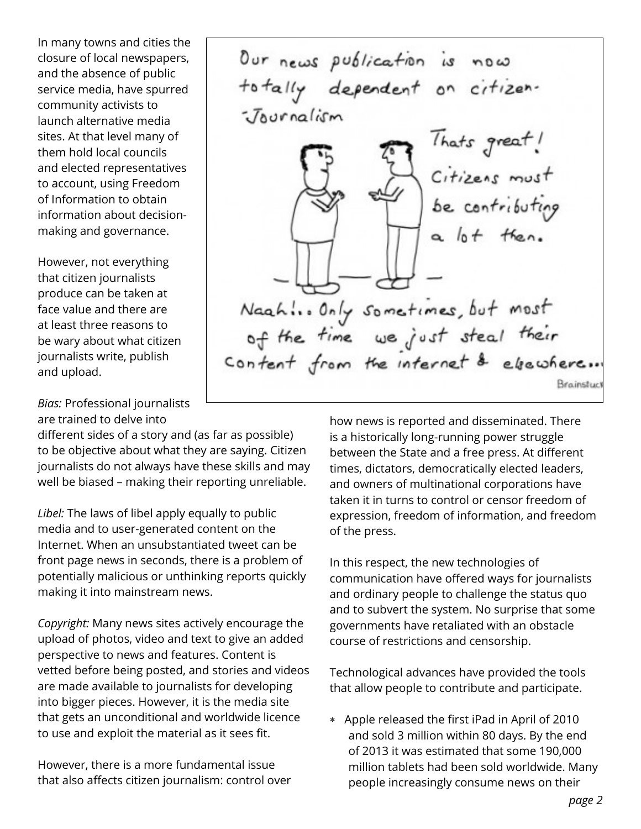In many towns and cities the closure of local newspapers, and the absence of public service media, have spurred community activists to launch alternative media sites. At that level many of them hold local councils and elected representatives to account, using Freedom of Information to obtain information about decisionmaking and governance.

However, not everything that citizen journalists produce can be taken at face value and there are at least three reasons to be wary about what citizen journalists write, publish and upload.

*Bias:* Professional journalists are trained to delve into

different sides of a story and (as far as possible) to be objective about what they are saying. Citizen journalists do not always have these skills and may well be biased – making their reporting unreliable.

*Libel:* The laws of libel apply equally to public media and to user-generated content on the Internet. When an unsubstantiated tweet can be front page news in seconds, there is a problem of potentially malicious or unthinking reports quickly making it into mainstream news.

*Copyright:* Many news sites actively encourage the upload of photos, video and text to give an added perspective to news and features. Content is vetted before being posted, and stories and videos are made available to journalists for developing into bigger pieces. However, it is the media site that gets an unconditional and worldwide licence to use and exploit the material as it sees fit.

However, there is a more fundamental issue that also affects citizen journalism: control over

Brainstuct how news is reported and disseminated. There is a historically long-running power struggle between the State and a free press. At different times, dictators, democratically elected leaders, and owners of multinational corporations have taken it in turns to control or censor freedom of expression, freedom of information, and freedom of the press.

In this respect, the new technologies of communication have offered ways for journalists and ordinary people to challenge the status quo and to subvert the system. No surprise that some governments have retaliated with an obstacle course of restrictions and censorship.

Technological advances have provided the tools that allow people to contribute and participate.

∗ Apple released the first iPad in April of 2010 and sold 3 million within 80 days. By the end of 2013 it was estimated that some 190,000 million tablets had been sold worldwide. Many people increasingly consume news on their

Our news publication is now totally dependent on citizen. Journalism Thats great! Citizens must be contributing a lot then. Naah!... Only sometimes, but most<br>of the time we just steal their<br>content from the internet & elsewhere...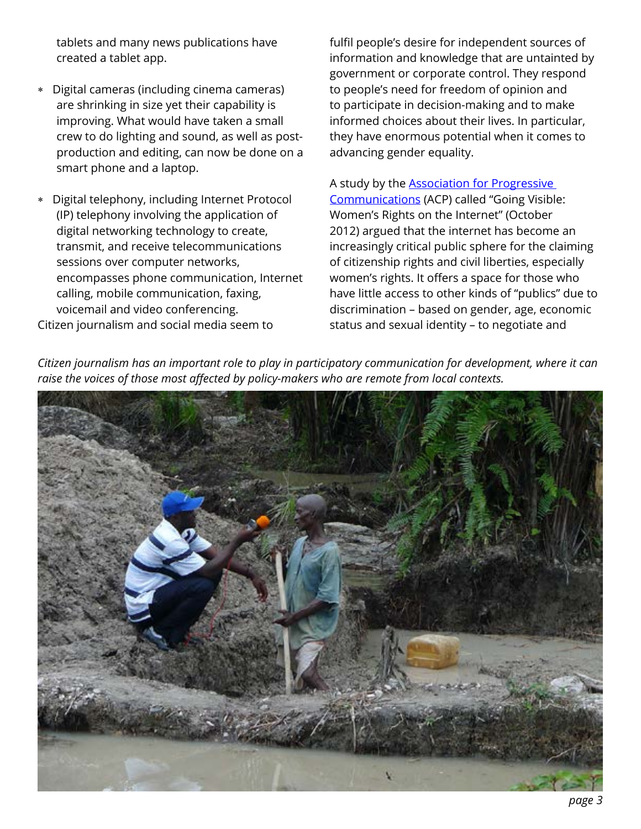tablets and many news publications have created a tablet app.

- ∗ Digital cameras (including cinema cameras) are shrinking in size yet their capability is improving. What would have taken a small crew to do lighting and sound, as well as postproduction and editing, can now be done on a smart phone and a laptop.
- ∗ Digital telephony, including Internet Protocol (IP) telephony involving the application of digital networking technology to create, transmit, and receive telecommunications sessions over computer networks, encompasses phone communication, Internet calling, mobile communication, faxing, voicemail and video conferencing. Citizen journalism and social media seem to

fulfil people's desire for independent sources of information and knowledge that are untainted by government or corporate control. They respond to people's need for freedom of opinion and to participate in decision-making and to make informed choices about their lives. In particular, they have enormous potential when it comes to advancing gender equality.

A study by the [Association for Progressive](http://www.apc.org/)  [Communications](http://www.apc.org/) (ACP) called "Going Visible: Women's Rights on the Internet" (October 2012) argued that the internet has become an increasingly critical public sphere for the claiming of citizenship rights and civil liberties, especially women's rights. It offers a space for those who have little access to other kinds of "publics" due to discrimination – based on gender, age, economic status and sexual identity – to negotiate and



*Citizen journalism has an important role to play in participatory communication for development, where it can raise the voices of those most affected by policy-makers who are remote from local contexts.*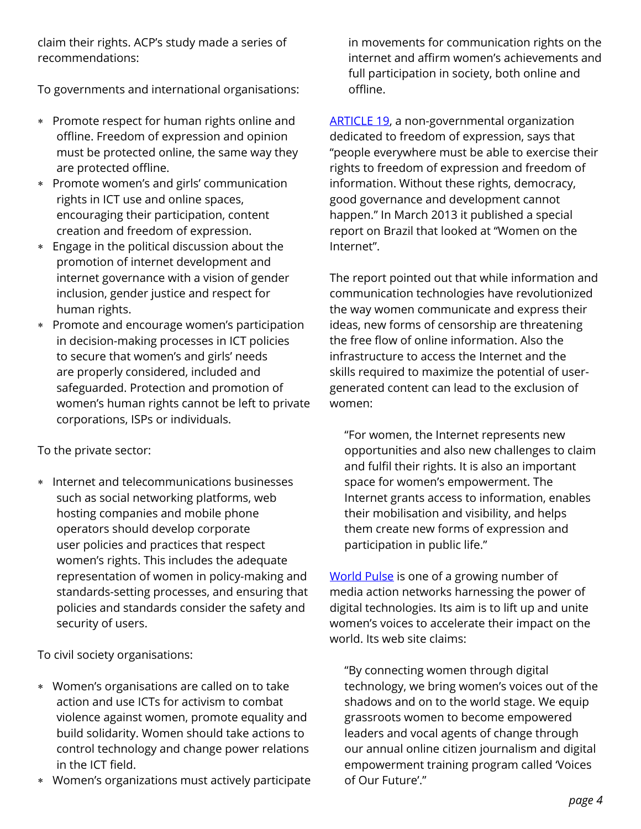claim their rights. ACP's study made a series of recommendations:

To governments and international organisations:

- ∗ Promote respect for human rights online and offline. Freedom of expression and opinion must be protected online, the same way they are protected offline.
- ∗ Promote women's and girls' communication rights in ICT use and online spaces, encouraging their participation, content creation and freedom of expression.
- ∗ Engage in the political discussion about the promotion of internet development and internet governance with a vision of gender inclusion, gender justice and respect for human rights.
- ∗ Promote and encourage women's participation in decision-making processes in ICT policies to secure that women's and girls' needs are properly considered, included and safeguarded. Protection and promotion of women's human rights cannot be left to private corporations, ISPs or individuals.

To the private sector:

∗ Internet and telecommunications businesses such as social networking platforms, web hosting companies and mobile phone operators should develop corporate user policies and practices that respect women's rights. This includes the adequate representation of women in policy-making and standards-setting processes, and ensuring that policies and standards consider the safety and security of users.

To civil society organisations:

- ∗ Women's organisations are called on to take action and use ICTs for activism to combat violence against women, promote equality and build solidarity. Women should take actions to control technology and change power relations in the ICT field.
- ∗ Women's organizations must actively participate

in movements for communication rights on the internet and affirm women's achievements and full participation in society, both online and offline.

[ARTICLE 19](http://www.article19.org/), a non-governmental organization dedicated to freedom of expression, says that "people everywhere must be able to exercise their rights to freedom of expression and freedom of information. Without these rights, democracy, good governance and development cannot happen." In March 2013 it published a special report on Brazil that looked at "Women on the Internet".

The report pointed out that while information and communication technologies have revolutionized the way women communicate and express their ideas, new forms of censorship are threatening the free flow of online information. Also the infrastructure to access the Internet and the skills required to maximize the potential of usergenerated content can lead to the exclusion of women:

"For women, the Internet represents new opportunities and also new challenges to claim and fulfil their rights. It is also an important space for women's empowerment. The Internet grants access to information, enables their mobilisation and visibility, and helps them create new forms of expression and participation in public life."

[World Pulse](http://worldpulse.com/) is one of a growing number of media action networks harnessing the power of digital technologies. Its aim is to lift up and unite women's voices to accelerate their impact on the world. Its web site claims:

"By connecting women through digital technology, we bring women's voices out of the shadows and on to the world stage. We equip grassroots women to become empowered leaders and vocal agents of change through our annual online citizen journalism and digital empowerment training program called 'Voices of Our Future'."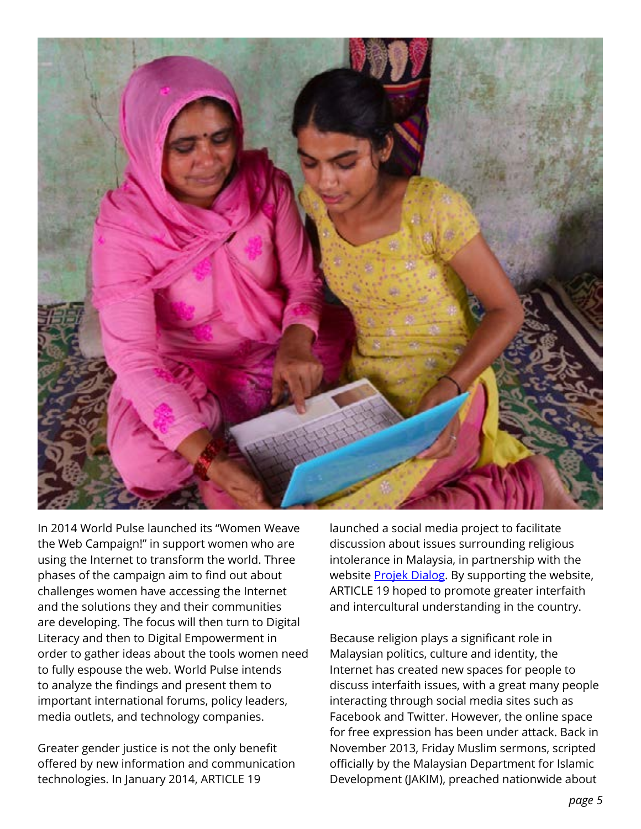

In 2014 World Pulse launched its "Women Weave the Web Campaign!" in support women who are using the Internet to transform the world. Three phases of the campaign aim to find out about challenges women have accessing the Internet and the solutions they and their communities are developing. The focus will then turn to Digital Literacy and then to Digital Empowerment in order to gather ideas about the tools women need to fully espouse the web. World Pulse intends to analyze the findings and present them to important international forums, policy leaders, media outlets, and technology companies.

Greater gender justice is not the only benefit offered by new information and communication technologies. In January 2014, ARTICLE 19

launched a social media project to facilitate discussion about issues surrounding religious intolerance in Malaysia, in partnership with the website **Projek Dialog**. By supporting the website, ARTICLE 19 hoped to promote greater interfaith and intercultural understanding in the country.

Because religion plays a significant role in Malaysian politics, culture and identity, the Internet has created new spaces for people to discuss interfaith issues, with a great many people interacting through social media sites such as Facebook and Twitter. However, the online space for free expression has been under attack. Back in November 2013, Friday Muslim sermons, scripted officially by the Malaysian Department for Islamic Development (JAKIM), preached nationwide about